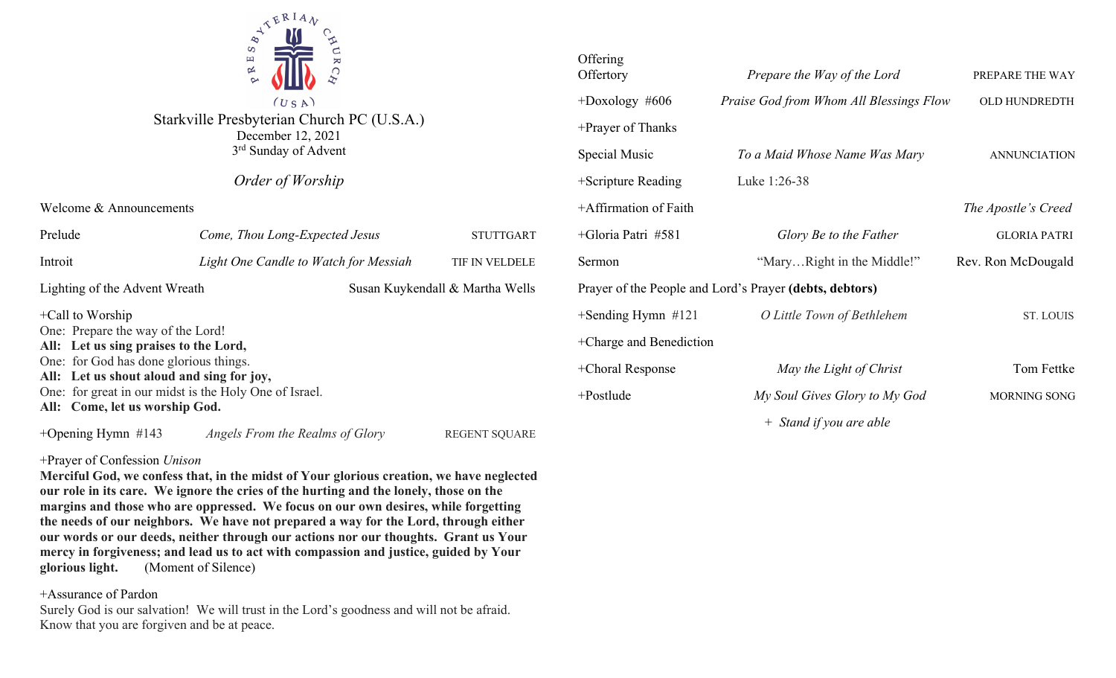

Starkville Presbyterian Church PC (U.S.A.) December 12, 2021 3rd Sunday of Advent

*Order of Worship*

Welcome & Announcements

| Prelude                                                                                                                                                                                                                                                                              | Come, Thou Long-Expected Jesus        |                                 | <b>STUTTGART</b> |
|--------------------------------------------------------------------------------------------------------------------------------------------------------------------------------------------------------------------------------------------------------------------------------------|---------------------------------------|---------------------------------|------------------|
| Introit                                                                                                                                                                                                                                                                              | Light One Candle to Watch for Messiah |                                 | TIF IN VELDELE   |
| Lighting of the Advent Wreath                                                                                                                                                                                                                                                        |                                       | Susan Kuykendall & Martha Wells |                  |
| $+$ Call to Worship<br>One: Prepare the way of the Lord!<br>All: Let us sing praises to the Lord,<br>One: for God has done glorious things.<br>All: Let us shout aloud and sing for joy,<br>One: for great in our midst is the Holy One of Israel.<br>All: Come, let us worship God. |                                       |                                 |                  |

+Opening Hymn #143 *Angels From the Realms of Glory* REGENT SQUARE

## +Prayer of Confession *Unison*

**Merciful God, we confess that, in the midst of Your glorious creation, we have neglected our role in its care. We ignore the cries of the hurting and the lonely, those on the margins and those who are oppressed. We focus on our own desires, while forgetting the needs of our neighbors. We have not prepared a way for the Lord, through either our words or our deeds, neither through our actions nor our thoughts. Grant us Your mercy in forgiveness; and lead us to act with compassion and justice, guided by Your glorious light.** (Moment of Silence)

# +Assurance of Pardon

Surely God is our salvation! We will trust in the Lord's goodness and will not be afraid. Know that you are forgiven and be at peace.

| Offering<br>Offertory   | Prepare the Way of the Lord                             | PREPARE THE WAY     |
|-------------------------|---------------------------------------------------------|---------------------|
| $+$ Doxology #606       | Praise God from Whom All Blessings Flow                 | OLD HUNDREDTH       |
| +Prayer of Thanks       |                                                         |                     |
| Special Music           | To a Maid Whose Name Was Mary                           | <b>ANNUNCIATION</b> |
| +Scripture Reading      | Luke 1:26-38                                            |                     |
| +Affirmation of Faith   |                                                         | The Apostle's Creed |
| +Gloria Patri #581      | Glory Be to the Father                                  | <b>GLORIA PATRI</b> |
| Sermon                  | "MaryRight in the Middle!"                              | Rev. Ron McDougald  |
|                         | Prayer of the People and Lord's Prayer (debts, debtors) |                     |
| $+$ Sending Hymn #121   | O Little Town of Bethlehem                              | <b>ST. LOUIS</b>    |
| +Charge and Benediction |                                                         |                     |
| +Choral Response        | May the Light of Christ                                 | Tom Fettke          |
| +Postlude               | My Soul Gives Glory to My God                           | MORNING SONG        |
|                         | $\Gamma$ $\Gamma$ $\Gamma$                              |                     |

*+ Stand if you are able*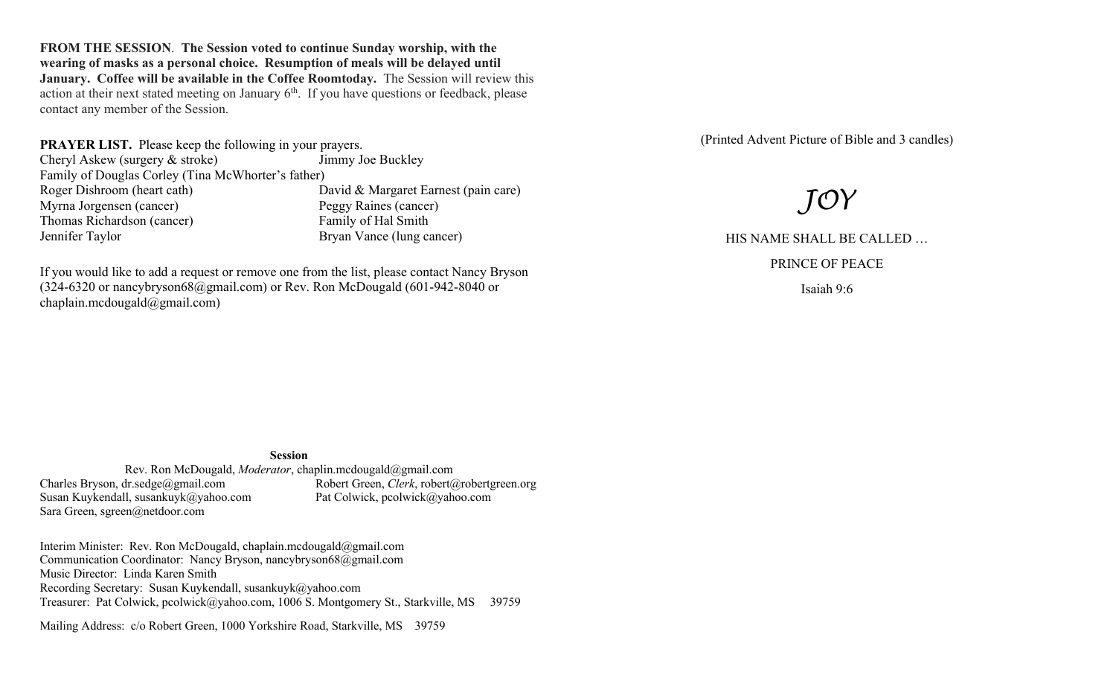**FROM THE SESSION**. **The Session voted to continue Sunday worship, with the wearing of masks as a personal choice. Resumption of meals will be delayed until January. Coffee will be available in the Coffee Roomtoday.** The Session will review this action at their next stated meeting on January  $6<sup>th</sup>$ . If you have questions or feedback, please contact any member of the Session.

**PRAYER LIST.** Please keep the following in your prayers. Cheryl Askew (surgery & stroke) Jimmy Joe Buckley Family of Douglas Corley (Tina McWhorter's father) Roger Dishroom (heart cath) David & Margaret Earnest (pain care) Myrna Jorgensen (cancer) Peggy Raines (cancer) Thomas Richardson (cancer) Family of Hal Smith Jennifer Taylor Bryan Vance (lung cancer)

If you would like to add a request or remove one from the list, please contact Nancy Bryson (324-6320 or nancybryson68@gmail.com) or Rev. Ron McDougald (601-942-8040 or chaplain.mcdougald@gmail.com)

(Printed Advent Picture of Bible and 3 candles)

# *JOY*

HIS NAME SHALL BE CALLED …

PRINCE OF PEACE

Isaiah 9:6

#### **Session**

Rev. Ron McDougald, *Moderator*, chaplin.mcdougald@gmail.com<br>Charles Bryson, dr.sedge@gmail.com Robert Green, *Clerk*, robert (4) Robert Green, *Clerk*, robert@robertgreen.org<br>Pat Colwick, pcolwick@yahoo.com Susan Kuykendall, susankuyk@yahoo.com Sara Green, sgreen@netdoor.com

Interim Minister: Rev. Ron McDougald, chaplain.mcdougald@gmail.com Communication Coordinator: Nancy Bryson, nancybryson68@gmail.com Music Director: Linda Karen Smith Recording Secretary: Susan Kuykendall, susankuyk@yahoo.com Treasurer: Pat Colwick, pcolwick@yahoo.com, 1006 S. Montgomery St., Starkville, MS 39759

Mailing Address: c/o Robert Green, 1000 Yorkshire Road, Starkville, MS 39759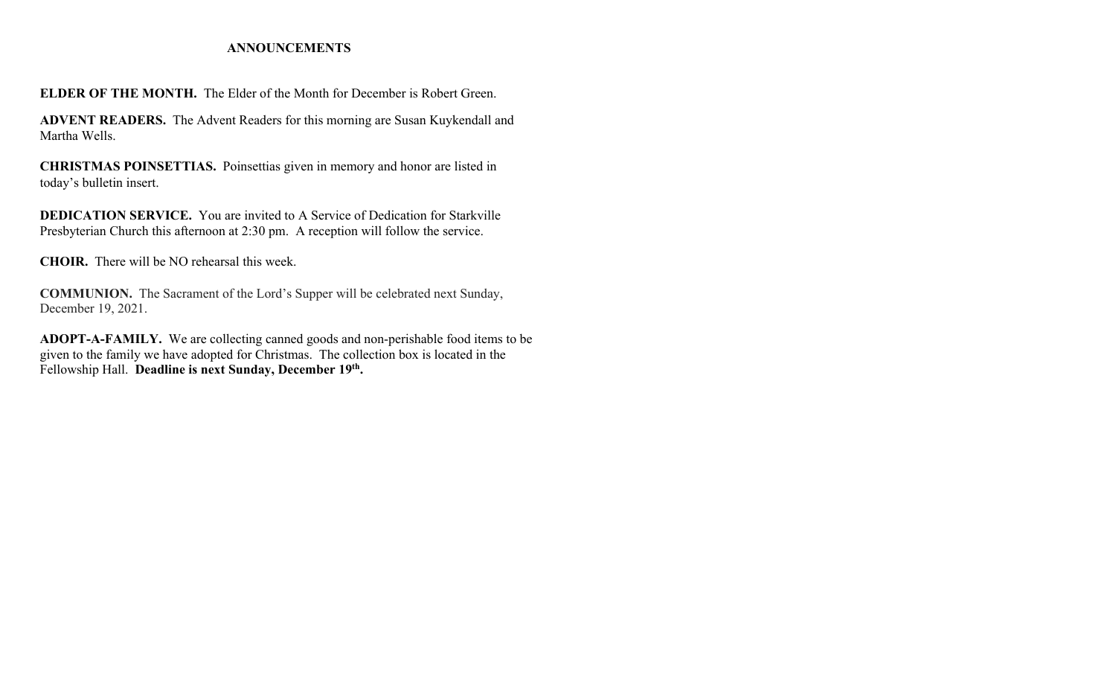### **ANNOUNCEMENTS**

**ELDER OF THE MONTH.** The Elder of the Month for December is Robert Green.

**ADVENT READERS.** The Advent Readers for this morning are Susan Kuykendall and Martha Wells.

**CHRISTMAS POINSETTIAS.** Poinsettias given in memory and honor are listed in today's bulletin insert.

**DEDICATION SERVICE.** You are invited to A Service of Dedication for Starkville Presbyterian Church this afternoon at 2:30 pm. A reception will follow the service.

**CHOIR.** There will be NO rehearsal this week.

**COMMUNION.** The Sacrament of the Lord's Supper will be celebrated next Sunday, December 19, 2021.

**ADOPT-A-FAMILY.** We are collecting canned goods and non-perishable food items to be given to the family we have adopted for Christmas. The collection box is located in the Fellowship Hall. **Deadline is next Sunday, December 19th.**